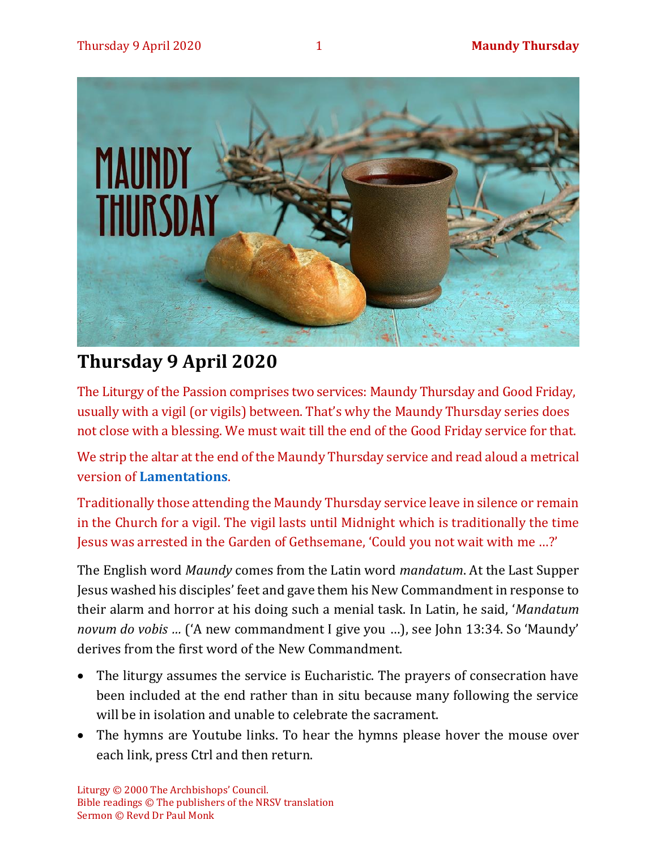

# **Thursday 9 April 2020**

The Liturgy of the Passion comprises two services: Maundy Thursday and Good Friday, usually with a vigil (or vigils) between. That's why the Maundy Thursday series does not close with a blessing. We must wait till the end of the Good Friday service for that.

We strip the altar at the end of the Maundy Thursday service and read aloud a metrical version of **[Lamentations](https://www.biblegateway.com/passage/?search=Lamentations+1&version=NRSV)**.

Traditionally those attending the Maundy Thursday service leave in silence or remain in the Church for a vigil. The vigil lasts until Midnight which is traditionally the time Jesus was arrested in the Garden of Gethsemane, 'Could you not wait with me …?'

The English word *Maundy* comes from the Latin word *mandatum*. At the Last Supper Jesus washed his disciples' feet and gave them his New Commandment in response to their alarm and horror at his doing such a menial task. In Latin, he said, '*Mandatum novum do vobis …* ('A new commandment I give you …), see John 13:34. So 'Maundy' derives from the first word of the New Commandment.

- The liturgy assumes the service is Eucharistic. The prayers of consecration have been included at the end rather than in situ because many following the service will be in isolation and unable to celebrate the sacrament.
- The hymns are Youtube links. To hear the hymns please hover the mouse over each link, press Ctrl and then return.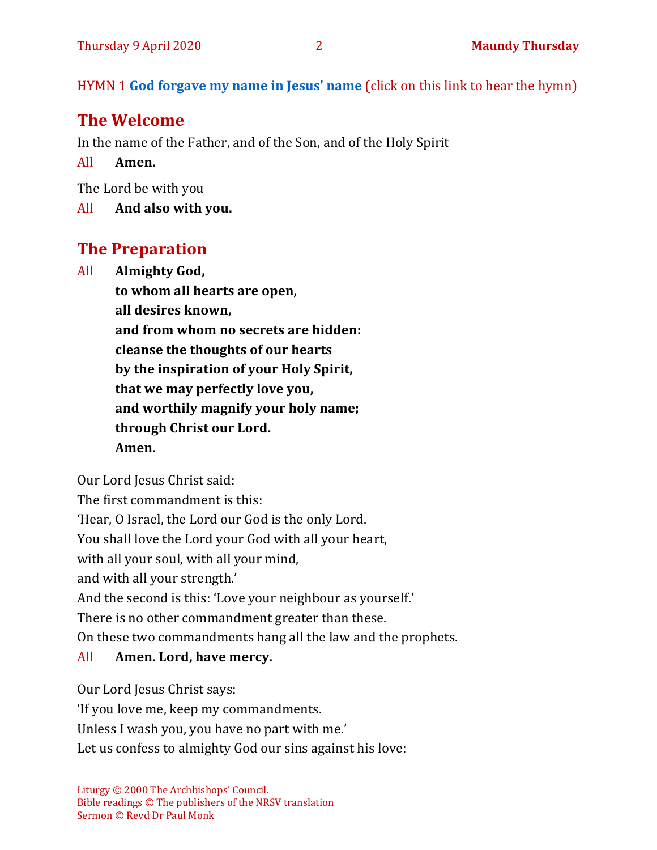HYMN 1 **[God forgave my name in Jesus' name](https://www.youtube.com/watch?v=mo3MGpcBC5M)** (click on this link to hear the hymn)

# **The Welcome**

In the name of the Father, and of the Son, and of the Holy Spirit

All **Amen.**

The Lord be with you

#### All **And also with you.**

# **The Preparation**

All **Almighty God, to whom all hearts are open, all desires known, and from whom no secrets are hidden: cleanse the thoughts of our hearts by the inspiration of your Holy Spirit, that we may perfectly love you, and worthily magnify your holy name; through Christ our Lord. Amen.**

Our Lord Jesus Christ said:

The first commandment is this:

'Hear, O Israel, the Lord our God is the only Lord.

You shall love the Lord your God with all your heart,

with all your soul, with all your mind,

and with all your strength.'

And the second is this: 'Love your neighbour as yourself.'

There is no other commandment greater than these.

On these two commandments hang all the law and the prophets.

#### All **Amen. Lord, have mercy.**

Our Lord Jesus Christ says:

'If you love me, keep my commandments.

Unless I wash you, you have no part with me.'

Let us confess to almighty God our sins against his love: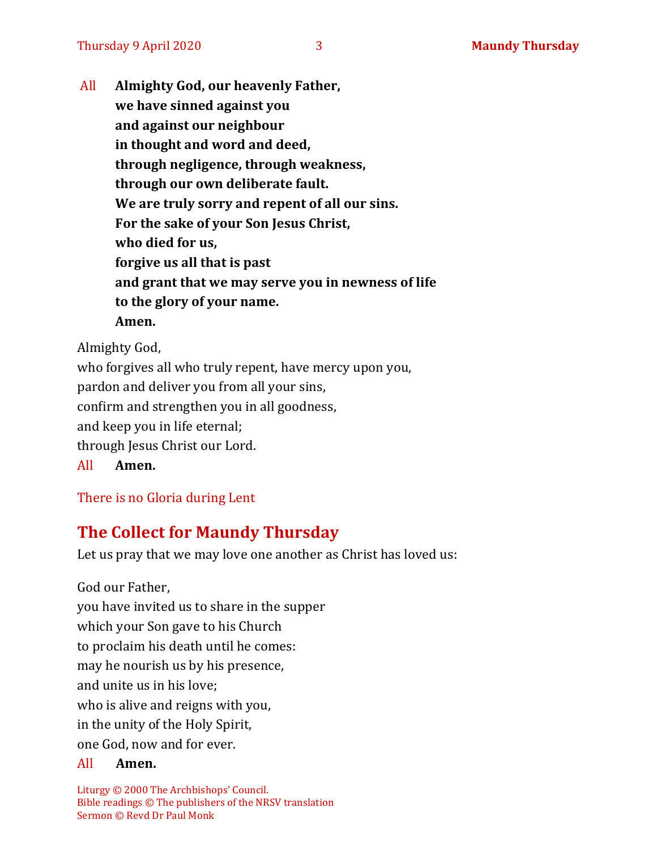All **Almighty God, our heavenly Father, we have sinned against you and against our neighbour in thought and word and deed, through negligence, through weakness, through our own deliberate fault. We are truly sorry and repent of all our sins. For the sake of your Son Jesus Christ, who died for us, forgive us all that is past and grant that we may serve you in newness of life to the glory of your name. Amen.**

Almighty God,

who forgives all who truly repent, have mercy upon you, pardon and deliver you from all your sins, confirm and strengthen you in all goodness, and keep you in life eternal; through Jesus Christ our Lord.

All **Amen.**

There is no Gloria during Lent

# **The Collect for Maundy Thursday**

Let us pray that we may love one another as Christ has loved us:

God our Father, you have invited us to share in the supper which your Son gave to his Church to proclaim his death until he comes: may he nourish us by his presence, and unite us in his love; who is alive and reigns with you, in the unity of the Holy Spirit, one God, now and for ever.

#### All **Amen.**

Liturgy © 2000 The Archbishops' Council. Bible readings © The publishers of the NRSV translation Sermon © Revd Dr Paul Monk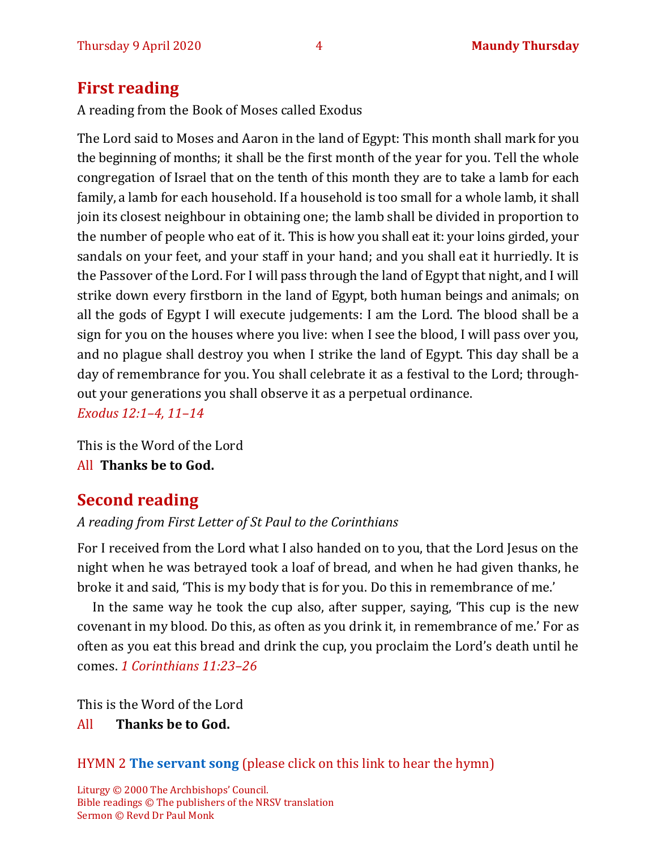## **First reading**

A reading from the Book of Moses called Exodus

The Lord said to Moses and Aaron in the land of Egypt: This month shall mark for you the beginning of months; it shall be the first month of the year for you. Tell the whole congregation of Israel that on the tenth of this month they are to take a lamb for each family, a lamb for each household. If a household is too small for a whole lamb, it shall join its closest neighbour in obtaining one; the lamb shall be divided in proportion to the number of people who eat of it. This is how you shall eat it: your loins girded, your sandals on your feet, and your staff in your hand; and you shall eat it hurriedly. It is the Passover of the Lord. For I will pass through the land of Egypt that night, and I will strike down every firstborn in the land of Egypt, both human beings and animals; on all the gods of Egypt I will execute judgements: I am the Lord. The blood shall be a sign for you on the houses where you live: when I see the blood, I will pass over you, and no plague shall destroy you when I strike the land of Egypt. This day shall be a day of remembrance for you. You shall celebrate it as a festival to the Lord; throughout your generations you shall observe it as a perpetual ordinance. *Exodus 12:1–4, 11–14*

This is the Word of the Lord All **Thanks be to God.**

# **Second reading**

#### *A reading from First Letter of St Paul to the Corinthians*

For I received from the Lord what I also handed on to you, that the Lord Jesus on the night when he was betrayed took a loaf of bread, and when he had given thanks, he broke it and said, 'This is my body that is for you. Do this in remembrance of me.'

In the same way he took the cup also, after supper, saying, 'This cup is the new covenant in my blood. Do this, as often as you drink it, in remembrance of me.' For as often as you eat this bread and drink the cup, you proclaim the Lord's death until he comes. *1 Corinthians 11:23–26*

This is the Word of the Lord All **Thanks be to God.**

HYMN 2 **[The servant song](https://www.youtube.com/watch?v=vsBCCz3Y7_w)** (please click on this link to hear the hymn)

Liturgy © 2000 The Archbishops' Council. Bible readings © The publishers of the NRSV translation Sermon © Revd Dr Paul Monk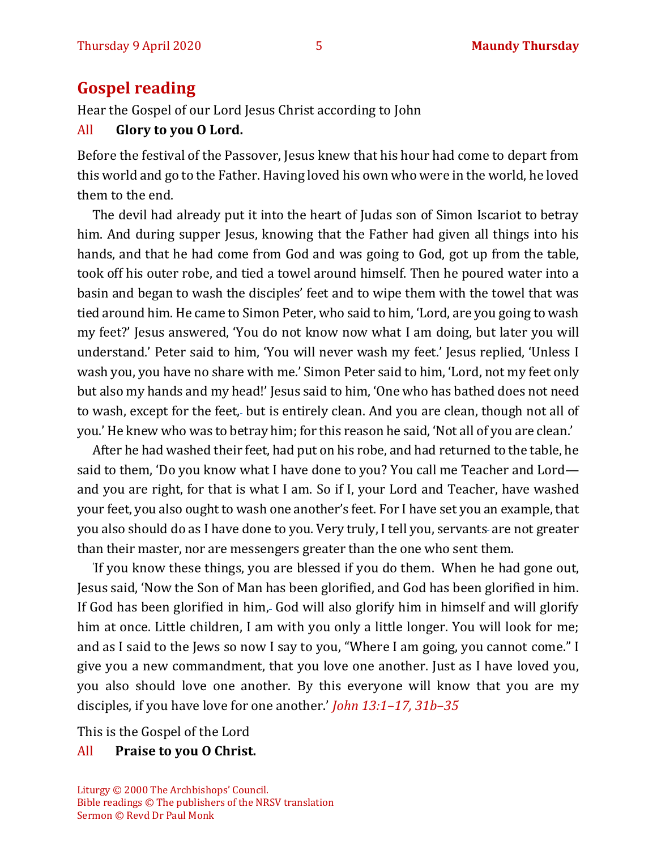### **Gospel reading**

Hear the Gospel of our Lord Jesus Christ according to John

#### All **Glory to you O Lord.**

Before the festival of the Passover, Jesus knew that his hour had come to depart from this world and go to the Father. Having loved his own who were in the world, he loved them to the end.

The devil had already put it into the heart of Judas son of Simon Iscariot to betray him. And during supper Jesus, knowing that the Father had given all things into his hands, and that he had come from God and was going to God, got up from the table[,](javascript:void(0);) took off his outer robe, and tied a towel around himself. Then he poured water into a basin and began to wash the disciples' feet and to wipe them with the towel that was tied around him. He came to Simon Peter, who said to him, 'Lord, are you going to wash my feet?' Jesus answered, 'You do not know now what I am doing, but later you will understand.' Peter said to him, 'You will never wash my feet.' Jesus replied, 'Unless I wash you, you have no share with me.' Simon Peter said to him, 'Lord, not my feet only but also my hands and my head!' Jesus said to him, 'One who has bathed does not need to wash, except for the feet[,](javascript:void(0);) but is entirely clean. And you are clean, though not all of you.' He knew who was to betray him; for this reason he said, 'Not all of you are clean.'

After he had washed their feet, had put on his robe, and had returned to the table, he said to them, 'Do you know what I have done to you? You call me Teacher and Lord and you are right, for that is what I am. So if I, your Lord and Teacher, have washed your feet, you also ought to wash one another's feet. For I have set you an example, that you also should do as I have done to you. Very truly, I tell you, servant[s](javascript:void(0);) are not greater than their master, nor are messengers greater than the one who sent them.

'If you know these things, you are blessed if you do them. When he had gone out, Jesus said, 'Now the Son of Man has been glorified, and God has been glorified in him. If God has been glorified in him[,](javascript:void(0);) God will also glorify him in himself and will glorify him at once. Little children, I am with you only a little longer. You will look for me; and as I said to the Jews so now I say to you, "Where I am going, you cannot come." I give you a new commandment, that you love one another. Just as I have loved you, you also should love one another. By this everyone will know that you are my disciples, if you have love for one another.' *John 13:1–17, 31b–35*

This is the Gospel of the Lord

#### All **Praise to you O Christ.**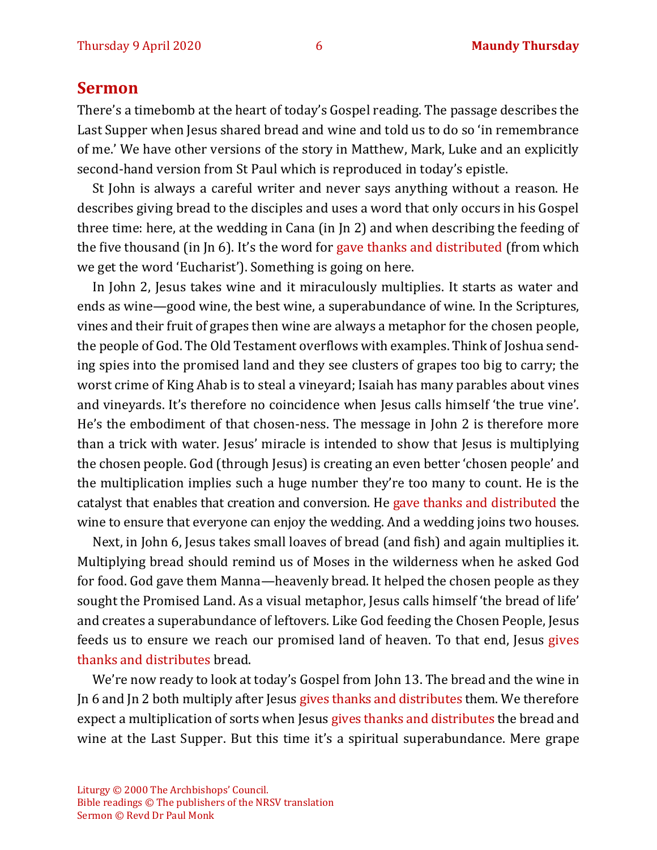#### **Sermon**

There's a timebomb at the heart of today's Gospel reading. The passage describes the Last Supper when Jesus shared bread and wine and told us to do so 'in remembrance of me.' We have other versions of the story in Matthew, Mark, Luke and an explicitly second-hand version from St Paul which is reproduced in today's epistle.

St John is always a careful writer and never says anything without a reason. He describes giving bread to the disciples and uses a word that only occurs in his Gospel three time: here, at the wedding in Cana (in Jn 2) and when describing the feeding of the five thousand (in Jn 6). It's the word for gave thanks and distributed (from which we get the word 'Eucharist'). Something is going on here.

In John 2, Jesus takes wine and it miraculously multiplies. It starts as water and ends as wine—good wine, the best wine, a superabundance of wine. In the Scriptures, vines and their fruit of grapes then wine are always a metaphor for the chosen people, the people of God. The Old Testament overflows with examples. Think of Joshua sending spies into the promised land and they see clusters of grapes too big to carry; the worst crime of King Ahab is to steal a vineyard; Isaiah has many parables about vines and vineyards. It's therefore no coincidence when Jesus calls himself 'the true vine'. He's the embodiment of that chosen-ness. The message in John 2 is therefore more than a trick with water. Jesus' miracle is intended to show that Jesus is multiplying the chosen people. God (through Jesus) is creating an even better 'chosen people' and the multiplication implies such a huge number they're too many to count. He is the catalyst that enables that creation and conversion. He gave thanks and distributed the wine to ensure that everyone can enjoy the wedding. And a wedding joins two houses.

Next, in John 6, Jesus takes small loaves of bread (and fish) and again multiplies it. Multiplying bread should remind us of Moses in the wilderness when he asked God for food. God gave them Manna—heavenly bread. It helped the chosen people as they sought the Promised Land. As a visual metaphor, Jesus calls himself 'the bread of life' and creates a superabundance of leftovers. Like God feeding the Chosen People, Jesus feeds us to ensure we reach our promised land of heaven. To that end, Jesus gives thanks and distributes bread.

We're now ready to look at today's Gospel from John 13. The bread and the wine in Jn 6 and Jn 2 both multiply after Jesus gives thanks and distributes them. We therefore expect a multiplication of sorts when Jesus gives thanks and distributes the bread and wine at the Last Supper. But this time it's a spiritual superabundance. Mere grape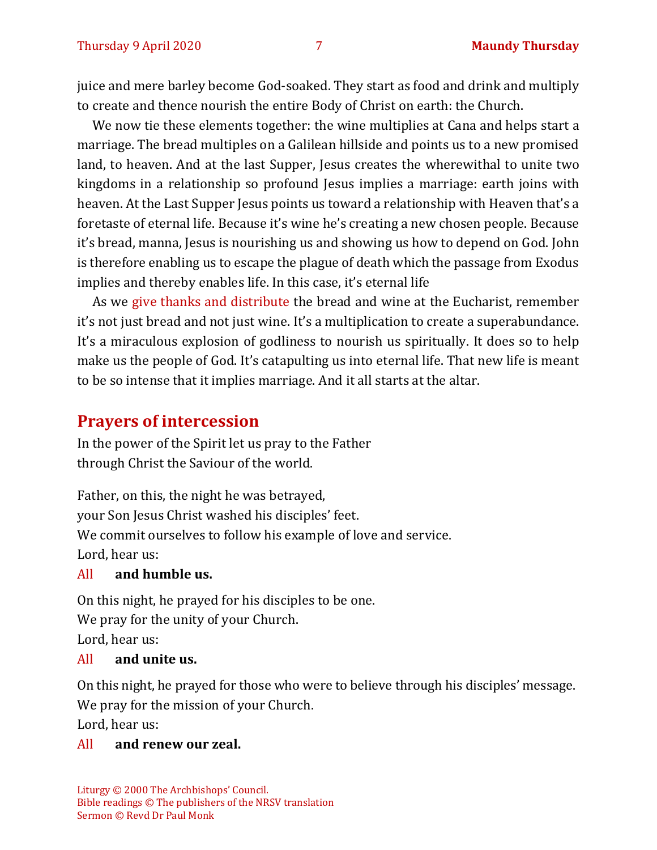juice and mere barley become God-soaked. They start as food and drink and multiply to create and thence nourish the entire Body of Christ on earth: the Church.

We now tie these elements together: the wine multiplies at Cana and helps start a marriage. The bread multiples on a Galilean hillside and points us to a new promised land, to heaven. And at the last Supper, Jesus creates the wherewithal to unite two kingdoms in a relationship so profound Jesus implies a marriage: earth joins with heaven. At the Last Supper Jesus points us toward a relationship with Heaven that's a foretaste of eternal life. Because it's wine he's creating a new chosen people. Because it's bread, manna, Jesus is nourishing us and showing us how to depend on God. John is therefore enabling us to escape the plague of death which the passage from Exodus implies and thereby enables life. In this case, it's eternal life

As we give thanks and distribute the bread and wine at the Eucharist, remember it's not just bread and not just wine. It's a multiplication to create a superabundance. It's a miraculous explosion of godliness to nourish us spiritually. It does so to help make us the people of God. It's catapulting us into eternal life. That new life is meant to be so intense that it implies marriage. And it all starts at the altar.

#### **Prayers of intercession**

In the power of the Spirit let us pray to the Father through Christ the Saviour of the world.

Father, on this, the night he was betrayed, your Son Jesus Christ washed his disciples' feet. We commit ourselves to follow his example of love and service. Lord, hear us:

#### All **and humble us.**

On this night, he prayed for his disciples to be one. We pray for the unity of your Church. Lord, hear us:

#### All **and unite us.**

On this night, he prayed for those who were to believe through his disciples' message. We pray for the mission of your Church.

Lord, hear us:

#### All **and renew our zeal.**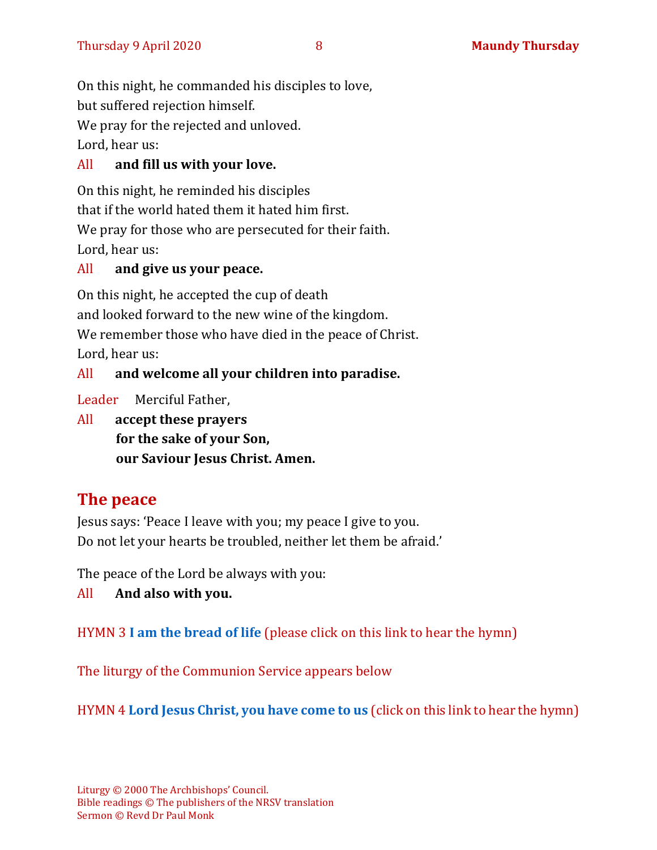On this night, he commanded his disciples to love, but suffered rejection himself.

We pray for the rejected and unloved.

Lord, hear us:

### All **and fill us with your love.**

On this night, he reminded his disciples that if the world hated them it hated him first. We pray for those who are persecuted for their faith. Lord, hear us:

#### All **and give us your peace.**

On this night, he accepted the cup of death and looked forward to the new wine of the kingdom. We remember those who have died in the peace of Christ. Lord, hear us:

#### All **and welcome all your children into paradise.**

Leader Merciful Father,

All **accept these prayers for the sake of your Son, our Saviour Jesus Christ. Amen.**

# **The peace**

Jesus says: 'Peace I leave with you; my peace I give to you. Do not let your hearts be troubled, neither let them be afraid.'

The peace of the Lord be always with you:

All **And also with you.**

HYMN 3 **[I am the bread of life](https://www.youtube.com/watch?v=IvD0XJzOWQ4)** (please click on this link to hear the hymn)

The liturgy of the Communion Service appears below

HYMN 4 **[Lord Jesus Christ, you have come to us](https://www.youtube.com/watch?v=ekVLG-p8Xsc)** (click on this link to hear the hymn)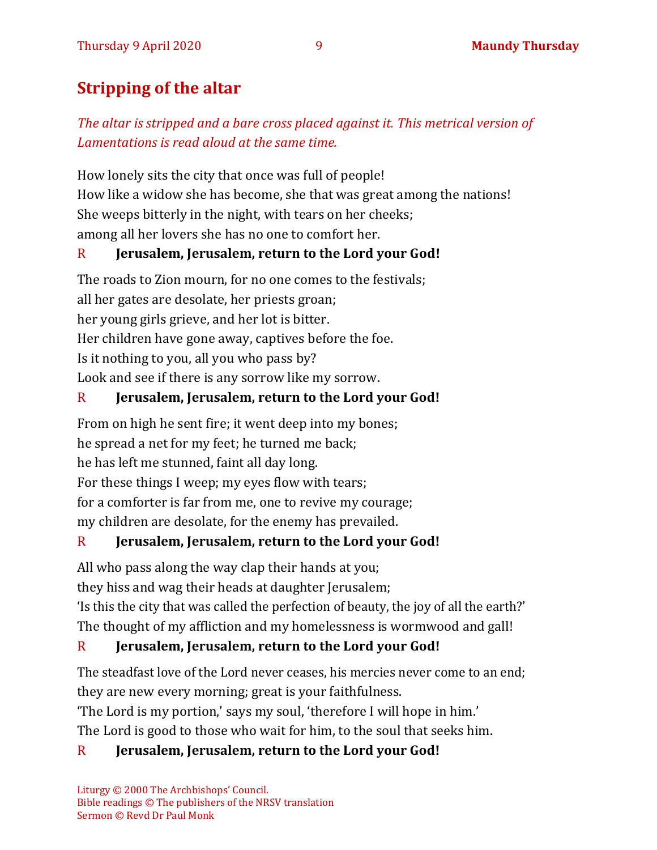# **Stripping of the altar**

*The altar is stripped and a bare cross placed against it. This metrical version of Lamentations is read aloud at the same time.*

How lonely sits the city that once was full of people! How like a widow she has become, she that was great among the nations! She weeps bitterly in the night, with tears on her cheeks; among all her lovers she has no one to comfort her.

#### R **Jerusalem, Jerusalem, return to the Lord your God!**

The roads to Zion mourn, for no one comes to the festivals; all her gates are desolate, her priests groan; her young girls grieve, and her lot is bitter. Her children have gone away, captives before the foe. Is it nothing to you, all you who pass by? Look and see if there is any sorrow like my sorrow.

#### R **Jerusalem, Jerusalem, return to the Lord your God!**

From on high he sent fire; it went deep into my bones; he spread a net for my feet; he turned me back; he has left me stunned, faint all day long. For these things I weep; my eyes flow with tears; for a comforter is far from me, one to revive my courage; my children are desolate, for the enemy has prevailed.

#### R **Jerusalem, Jerusalem, return to the Lord your God!**

All who pass along the way clap their hands at you; they hiss and wag their heads at daughter Jerusalem; 'Is this the city that was called the perfection of beauty, the joy of all the earth?' The thought of my affliction and my homelessness is wormwood and gall!

#### R **Jerusalem, Jerusalem, return to the Lord your God!**

The steadfast love of the Lord never ceases, his mercies never come to an end; they are new every morning; great is your faithfulness.

'The Lord is my portion,' says my soul, 'therefore I will hope in him.'

The Lord is good to those who wait for him, to the soul that seeks him.

#### R **Jerusalem, Jerusalem, return to the Lord your God!**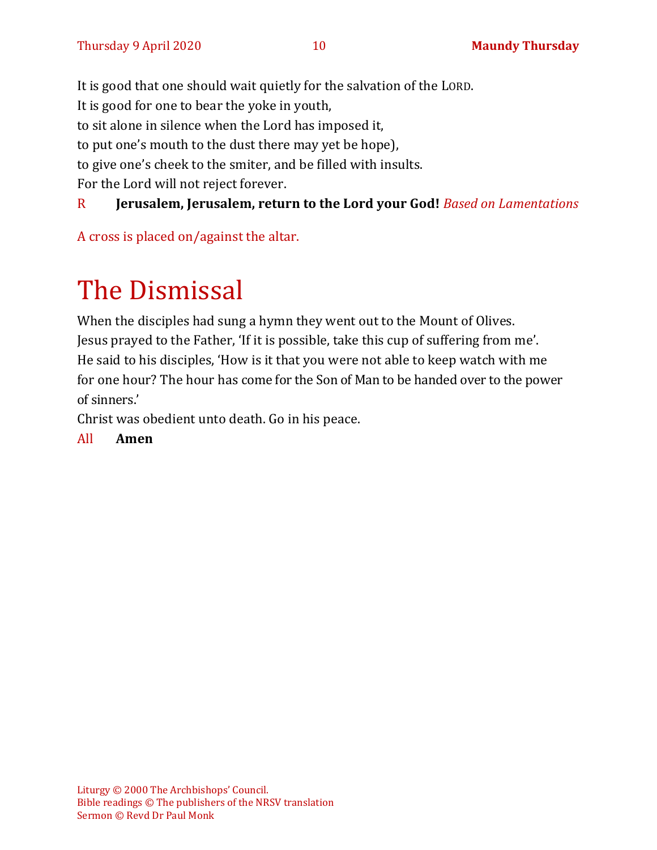It is good that one should wait quietly for the salvation of the LORD. It is good for one to bear the yoke in youth, to sit alone in silence when the Lord has imposed it, to put one's mouth to the dust there may yet be hope), to give one's cheek to the smiter, and be filled with insults. For the Lord will not reject forever.

#### R **Jerusalem, Jerusalem, return to the Lord your God!** *Based on Lamentations*

A cross is placed on/against the altar.

# The Dismissal

When the disciples had sung a hymn they went out to the Mount of Olives. Jesus prayed to the Father, 'If it is possible, take this cup of suffering from me'. He said to his disciples, 'How is it that you were not able to keep watch with me for one hour? The hour has come for the Son of Man to be handed over to the power of sinners.'

Christ was obedient unto death. Go in his peace.

#### All **Amen**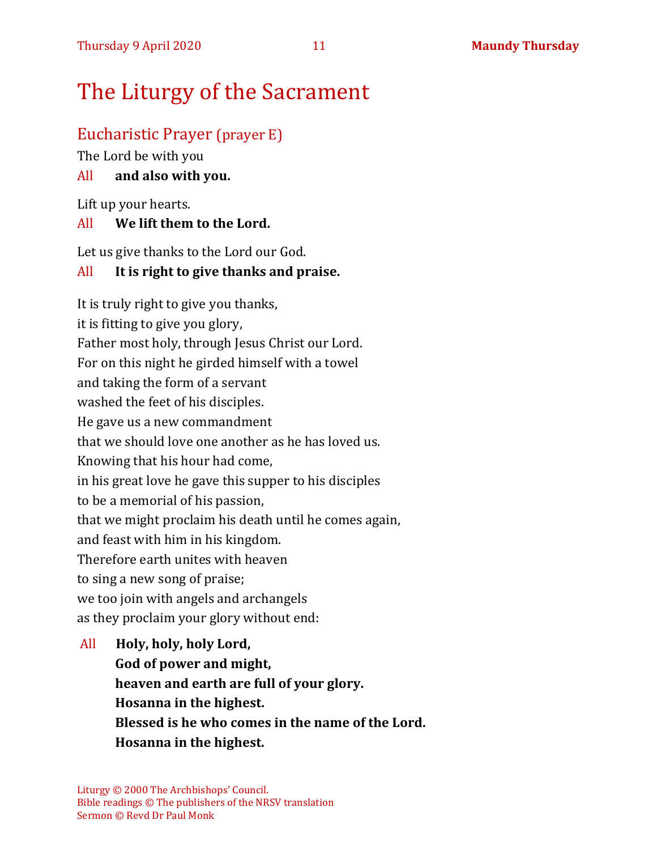# The Liturgy of the Sacrament

## Eucharistic Prayer (prayer E)

The Lord be with you

#### All **and also with you.**

Lift up your hearts.

#### All **We lift them to the Lord.**

Let us give thanks to the Lord our God.

#### All **It is right to give thanks and praise.**

It is truly right to give you thanks, it is fitting to give you glory, Father most holy, through Jesus Christ our Lord. For on this night he girded himself with a towel and taking the form of a servant washed the feet of his disciples. He gave us a new commandment that we should love one another as he has loved us. Knowing that his hour had come, in his great love he gave this supper to his disciples to be a memorial of his passion, that we might proclaim his death until he comes again, and feast with him in his kingdom. Therefore earth unites with heaven to sing a new song of praise; we too join with angels and archangels as they proclaim your glory without end:

All **Holy, holy, holy Lord, God of power and might, heaven and earth are full of your glory. Hosanna in the highest. Blessed is he who comes in the name of the Lord. Hosanna in the highest.**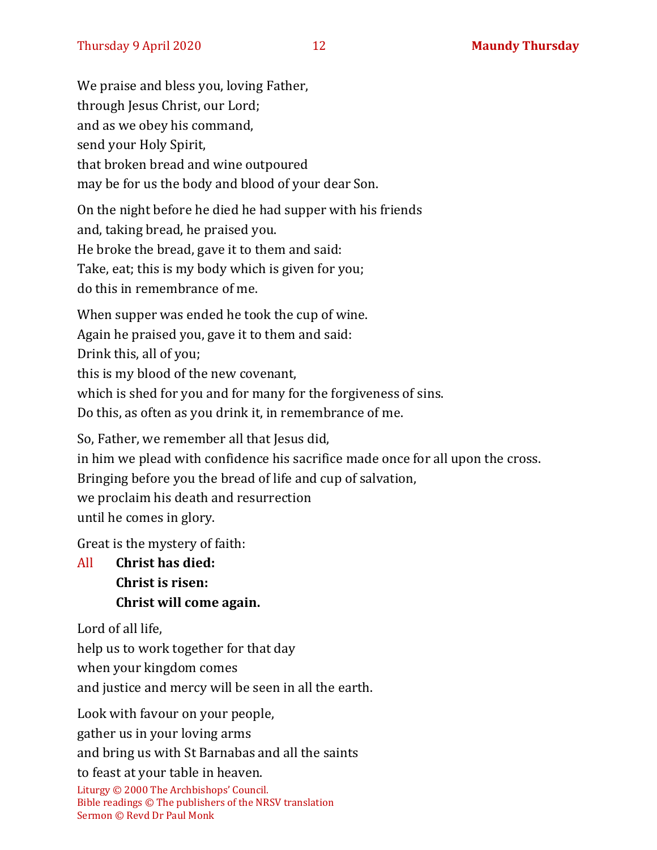We praise and bless you, loving Father, through Jesus Christ, our Lord; and as we obey his command, send your Holy Spirit, that broken bread and wine outpoured may be for us the body and blood of your dear Son.

On the night before he died he had supper with his friends and, taking bread, he praised you. He broke the bread, gave it to them and said: Take, eat; this is my body which is given for you; do this in remembrance of me.

When supper was ended he took the cup of wine. Again he praised you, gave it to them and said: Drink this, all of you; this is my blood of the new covenant, which is shed for you and for many for the forgiveness of sins. Do this, as often as you drink it, in remembrance of me.

So, Father, we remember all that Jesus did, in him we plead with confidence his sacrifice made once for all upon the cross. Bringing before you the bread of life and cup of salvation, we proclaim his death and resurrection until he comes in glory.

Great is the mystery of faith:

#### All **Christ has died: Christ is risen: Christ will come again.**

Lord of all life,

help us to work together for that day

when your kingdom comes

and justice and mercy will be seen in all the earth.

Look with favour on your people,

gather us in your loving arms

and bring us with St Barnabas and all the saints

to feast at your table in heaven.

Liturgy © 2000 The Archbishops' Council. Bible readings © The publishers of the NRSV translation Sermon © Revd Dr Paul Monk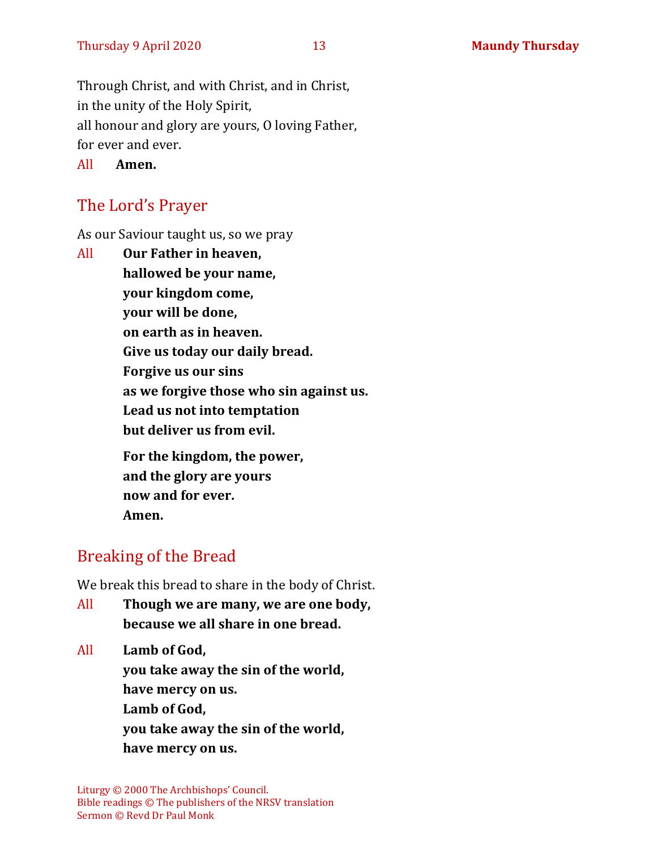Through Christ, and with Christ, and in Christ, in the unity of the Holy Spirit, all honour and glory are yours, O loving Father, for ever and ever.

All **Amen.**

# The Lord's Prayer

As our Saviour taught us, so we pray

All **Our Father in heaven, hallowed be your name, your kingdom come, your will be done, on earth as in heaven. Give us today our daily bread. Forgive us our sins as we forgive those who sin against us. Lead us not into temptation but deliver us from evil. For the kingdom, the power,** 

**and the glory are yours now and for ever. Amen.**

# Breaking of the Bread

We break this bread to share in the body of Christ.

All **Though we are many, we are one body, because we all share in one bread.**

All **Lamb of God, you take away the sin of the world, have mercy on us. Lamb of God, you take away the sin of the world, have mercy on us.**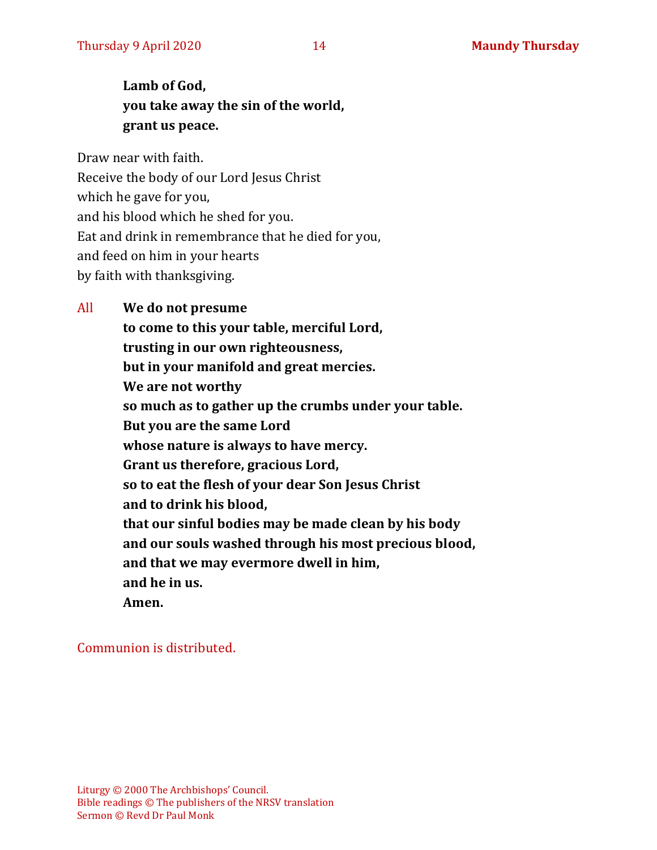## **Lamb of God, you take away the sin of the world, grant us peace.**

Draw near with faith.

Receive the body of our Lord Jesus Christ

which he gave for you,

and his blood which he shed for you.

Eat and drink in remembrance that he died for you,

and feed on him in your hearts

by faith with thanksgiving.

All **We do not presume to come to this your table, merciful Lord, trusting in our own righteousness, but in your manifold and great mercies. We are not worthy so much as to gather up the crumbs under your table. But you are the same Lord whose nature is always to have mercy. Grant us therefore, gracious Lord, so to eat the flesh of your dear Son Jesus Christ and to drink his blood, that our sinful bodies may be made clean by his body and our souls washed through his most precious blood, and that we may evermore dwell in him, and he in us. Amen.**

#### Communion is distributed.